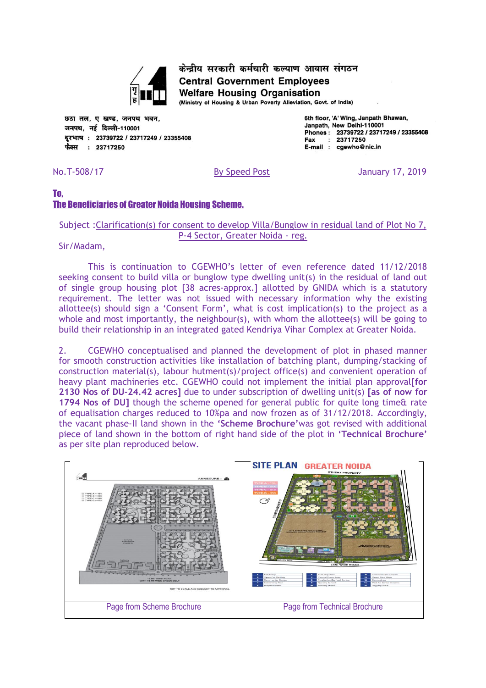

केन्द्रीय सरकारी कर्मचारी कल्याण आवास संगठन **Central Government Employees Welfare Housing Organisation** 

(Ministry of Housing & Urban Poverty Alleviation, Govt. of India)

छठा तल, ए खण्ड, जनपथ भवन, जनपथ, नई दिल्ली-110001 दरभाष: 23739722 / 23717249 / 23355408 फैक्स: 23717250

6th floor, 'A' Wing, Janpath Bhawan, Janpath, New Delhi-110001 Phones: 23739722 / 23717249 / 23355408  $: 23717250$ Fax E-mail : cgewho@nic.in

No.T-508/17 By Speed Post January 17, 2019

## To, The Beneficiaries of Greater Noida Housing Scheme.

### Subject :Clarification(s) for consent to develop Villa/Bunglow in residual land of Plot No 7, P-4 Sector, Greater Noida - reg.

Sir/Madam,

This is continuation to CGEWHO's letter of even reference dated 11/12/2018 seeking consent to build villa or bunglow type dwelling unit(s) in the residual of land out of single group housing plot [38 acres-approx.] allotted by GNIDA which is a statutory requirement. The letter was not issued with necessary information why the existing allottee(s) should sign a 'Consent Form', what is cost implication(s) to the project as a whole and most importantly, the neighbour(s), with whom the allottee(s) will be going to build their relationship in an integrated gated Kendriya Vihar Complex at Greater Noida.

2. CGEWHO conceptualised and planned the development of plot in phased manner for smooth construction activities like installation of batching plant, dumping/stacking of construction material(s), labour hutment(s)/project office(s) and convenient operation of heavy plant machineries etc. CGEWHO could not implement the initial plan approvall for **2130 Nos of DU-24.42 acres]** due to under subscription of dwelling unit(s) **[as of now for 1794 Nos of DU]** though the scheme opened for general public for quite long time& rate of equalisation charges reduced to 10%pa and now frozen as of 31/12/2018. Accordingly, the vacant phase-II land shown in the **'Scheme Brochure'**was got revised with additional piece of land shown in the bottom of right hand side of the plot in **'Technical Brochure'** as per site plan reproduced below.

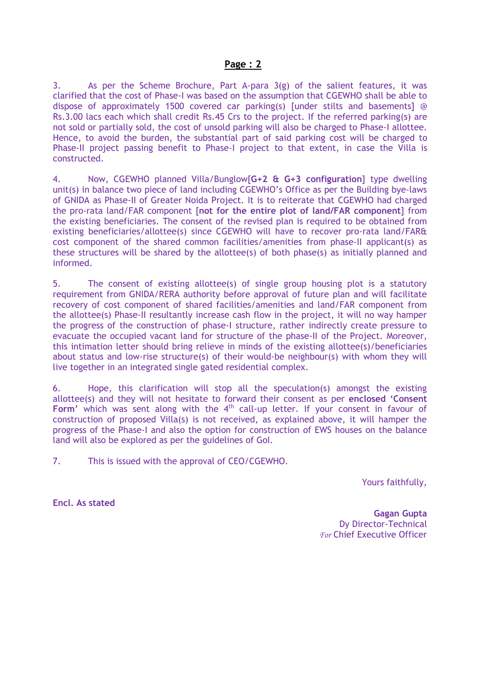#### **Page : 2**

3. As per the Scheme Brochure, Part A-para 3(g) of the salient features, it was clarified that the cost of Phase-I was based on the assumption that CGEWHO shall be able to dispose of approximately 1500 covered car parking(s) [under stilts and basements] @ Rs.3.00 lacs each which shall credit Rs.45 Crs to the project. If the referred parking(s) are not sold or partially sold, the cost of unsold parking will also be charged to Phase-I allottee. Hence, to avoid the burden, the substantial part of said parking cost will be charged to Phase-II project passing benefit to Phase-I project to that extent, in case the Villa is constructed.

4. Now, CGEWHO planned Villa/Bunglow[**G+2 & G+3 configuration**] type dwelling unit(s) in balance two piece of land including CGEWHO's Office as per the Building bye-laws of GNIDA as Phase-II of Greater Noida Project. It is to reiterate that CGEWHO had charged the pro-rata land/FAR component [**not for the entire plot of land/FAR component**] from the existing beneficiaries. The consent of the revised plan is required to be obtained from existing beneficiaries/allottee(s) since CGEWHO will have to recover pro-rata land/FAR& cost component of the shared common facilities/amenities from phase-II applicant(s) as these structures will be shared by the allottee(s) of both phase(s) as initially planned and informed.

5. The consent of existing allottee(s) of single group housing plot is a statutory requirement from GNIDA/RERA authority before approval of future plan and will facilitate recovery of cost component of shared facilities/amenities and land/FAR component from the allottee(s) Phase-II resultantly increase cash flow in the project, it will no way hamper the progress of the construction of phase-I structure, rather indirectly create pressure to evacuate the occupied vacant land for structure of the phase-II of the Project. Moreover, this intimation letter should bring relieve in minds of the existing allottee(s)/beneficiaries about status and low-rise structure(s) of their would-be neighbour(s) with whom they will live together in an integrated single gated residential complex.

6. Hope, this clarification will stop all the speculation(s) amongst the existing allottee(s) and they will not hesitate to forward their consent as per **enclosed 'Consent**  Form' which was sent along with the 4<sup>th</sup> call-up letter. If your consent in favour of construction of proposed Villa(s) is not received, as explained above, it will hamper the progress of the Phase-I and also the option for construction of EWS houses on the balance land will also be explored as per the guidelines of GoI.

7. This is issued with the approval of CEO/CGEWHO.

Yours faithfully,

**Encl. As stated**

**Gagan Gupta** Dy Director-Technical *For* Chief Executive Officer